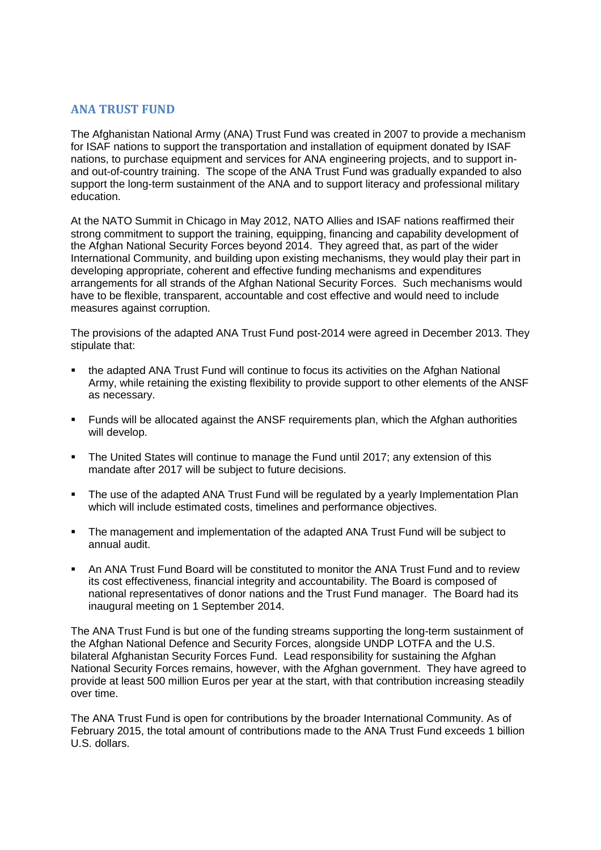## **ANA TRUST FUND**

The Afghanistan National Army (ANA) Trust Fund was created in 2007 to provide a mechanism for ISAF nations to support the transportation and installation of equipment donated by ISAF nations, to purchase equipment and services for ANA engineering projects, and to support inand out-of-country training. The scope of the ANA Trust Fund was gradually expanded to also support the long-term sustainment of the ANA and to support literacy and professional military education.

At the NATO Summit in Chicago in May 2012, NATO Allies and ISAF nations reaffirmed their strong commitment to support the training, equipping, financing and capability development of the Afghan National Security Forces beyond 2014. They agreed that, as part of the wider International Community, and building upon existing mechanisms, they would play their part in developing appropriate, coherent and effective funding mechanisms and expenditures arrangements for all strands of the Afghan National Security Forces. Such mechanisms would have to be flexible, transparent, accountable and cost effective and would need to include measures against corruption.

The provisions of the adapted ANA Trust Fund post-2014 were agreed in December 2013. They stipulate that:

- the adapted ANA Trust Fund will continue to focus its activities on the Afghan National Army, while retaining the existing flexibility to provide support to other elements of the ANSF as necessary.
- Funds will be allocated against the ANSF requirements plan, which the Afghan authorities will develop.
- The United States will continue to manage the Fund until 2017; any extension of this mandate after 2017 will be subject to future decisions.
- The use of the adapted ANA Trust Fund will be regulated by a yearly Implementation Plan which will include estimated costs, timelines and performance objectives.
- The management and implementation of the adapted ANA Trust Fund will be subject to annual audit.
- An ANA Trust Fund Board will be constituted to monitor the ANA Trust Fund and to review its cost effectiveness, financial integrity and accountability. The Board is composed of national representatives of donor nations and the Trust Fund manager. The Board had its inaugural meeting on 1 September 2014.

The ANA Trust Fund is but one of the funding streams supporting the long-term sustainment of the Afghan National Defence and Security Forces, alongside UNDP LOTFA and the U.S. bilateral Afghanistan Security Forces Fund. Lead responsibility for sustaining the Afghan National Security Forces remains, however, with the Afghan government. They have agreed to provide at least 500 million Euros per year at the start, with that contribution increasing steadily over time.

The ANA Trust Fund is open for contributions by the broader International Community. As of February 2015, the total amount of contributions made to the ANA Trust Fund exceeds 1 billion U.S. dollars.